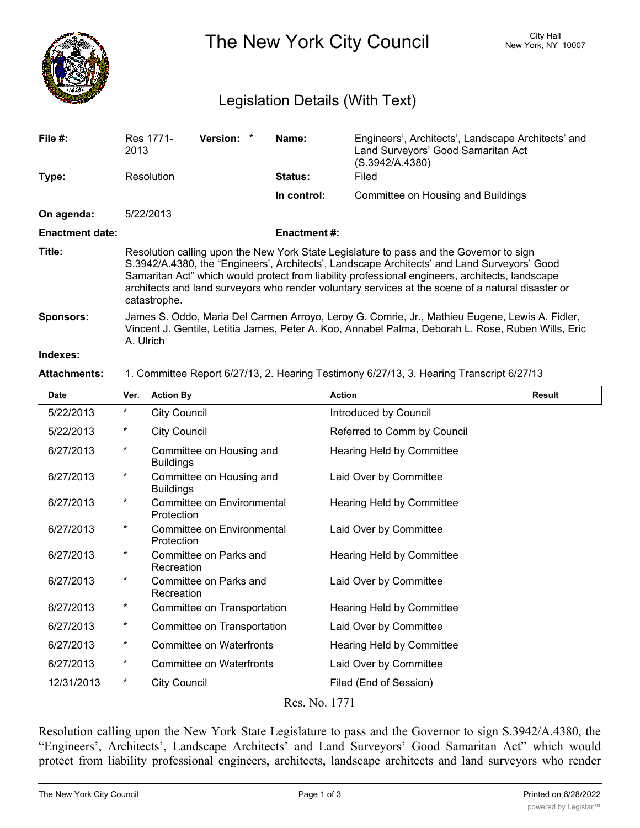

The New York City Council New York, NY 10007

## Legislation Details (With Text)

| File $#$ :             | Res 1771-<br>2013                                                                                                                                                                                                                                                                                                                                                                                              | Version: * |  | Name:               | Engineers', Architects', Landscape Architects' and<br>Land Surveyors' Good Samaritan Act<br>(S.3942/A.4380) |  |
|------------------------|----------------------------------------------------------------------------------------------------------------------------------------------------------------------------------------------------------------------------------------------------------------------------------------------------------------------------------------------------------------------------------------------------------------|------------|--|---------------------|-------------------------------------------------------------------------------------------------------------|--|
| Type:                  | Resolution                                                                                                                                                                                                                                                                                                                                                                                                     |            |  | <b>Status:</b>      | Filed                                                                                                       |  |
|                        |                                                                                                                                                                                                                                                                                                                                                                                                                |            |  | In control:         | Committee on Housing and Buildings                                                                          |  |
| On agenda:             | 5/22/2013                                                                                                                                                                                                                                                                                                                                                                                                      |            |  |                     |                                                                                                             |  |
| <b>Enactment date:</b> |                                                                                                                                                                                                                                                                                                                                                                                                                |            |  | <b>Enactment #:</b> |                                                                                                             |  |
| Title:                 | Resolution calling upon the New York State Legislature to pass and the Governor to sign<br>S.3942/A.4380, the "Engineers', Architects', Landscape Architects' and Land Surveyors' Good<br>Samaritan Act" which would protect from liability professional engineers, architects, landscape<br>architects and land surveyors who render voluntary services at the scene of a natural disaster or<br>catastrophe. |            |  |                     |                                                                                                             |  |
| <b>Sponsors:</b>       | James S. Oddo, Maria Del Carmen Arroyo, Leroy G. Comrie, Jr., Mathieu Eugene, Lewis A. Fidler,<br>Vincent J. Gentile, Letitia James, Peter A. Koo, Annabel Palma, Deborah L. Rose, Ruben Wills, Eric<br>A. Ulrich                                                                                                                                                                                              |            |  |                     |                                                                                                             |  |
| Indovoe <sub>1</sub>   |                                                                                                                                                                                                                                                                                                                                                                                                                |            |  |                     |                                                                                                             |  |

## **Indexes:**

## **Attachments:** 1. Committee Report 6/27/13, 2. Hearing Testimony 6/27/13, 3. Hearing Transcript 6/27/13

| <b>Date</b> | Ver.     | <b>Action By</b>                             | <b>Action</b>               | <b>Result</b> |
|-------------|----------|----------------------------------------------|-----------------------------|---------------|
| 5/22/2013   | $^\star$ | <b>City Council</b>                          | Introduced by Council       |               |
| 5/22/2013   | $\ast$   | <b>City Council</b>                          | Referred to Comm by Council |               |
| 6/27/2013   | $^\star$ | Committee on Housing and<br><b>Buildings</b> | Hearing Held by Committee   |               |
| 6/27/2013   | $^\ast$  | Committee on Housing and<br><b>Buildings</b> | Laid Over by Committee      |               |
| 6/27/2013   | $\star$  | Committee on Environmental<br>Protection     | Hearing Held by Committee   |               |
| 6/27/2013   | $^\star$ | Committee on Environmental<br>Protection     | Laid Over by Committee      |               |
| 6/27/2013   | $^\star$ | Committee on Parks and<br>Recreation         | Hearing Held by Committee   |               |
| 6/27/2013   | $^\star$ | Committee on Parks and<br>Recreation         | Laid Over by Committee      |               |
| 6/27/2013   | $^\star$ | Committee on Transportation                  | Hearing Held by Committee   |               |
| 6/27/2013   | $\star$  | Committee on Transportation                  | Laid Over by Committee      |               |
| 6/27/2013   | $\ast$   | <b>Committee on Waterfronts</b>              | Hearing Held by Committee   |               |
| 6/27/2013   | $^\star$ | <b>Committee on Waterfronts</b>              | Laid Over by Committee      |               |
| 12/31/2013  | $^\star$ | <b>City Council</b>                          | Filed (End of Session)      |               |
|             |          |                                              |                             |               |

Res. No. 1771

Resolution calling upon the New York State Legislature to pass and the Governor to sign S.3942/A.4380, the "Engineers', Architects', Landscape Architects' and Land Surveyors' Good Samaritan Act" which would protect from liability professional engineers, architects, landscape architects and land surveyors who render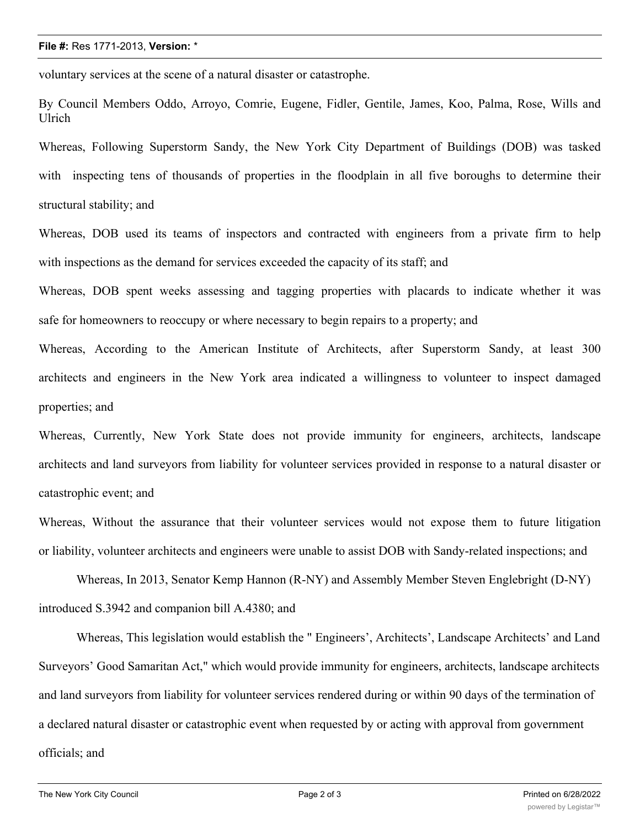voluntary services at the scene of a natural disaster or catastrophe.

By Council Members Oddo, Arroyo, Comrie, Eugene, Fidler, Gentile, James, Koo, Palma, Rose, Wills and Ulrich

Whereas, Following Superstorm Sandy, the New York City Department of Buildings (DOB) was tasked with inspecting tens of thousands of properties in the floodplain in all five boroughs to determine their structural stability; and

Whereas, DOB used its teams of inspectors and contracted with engineers from a private firm to help with inspections as the demand for services exceeded the capacity of its staff; and

Whereas, DOB spent weeks assessing and tagging properties with placards to indicate whether it was safe for homeowners to reoccupy or where necessary to begin repairs to a property; and

Whereas, According to the American Institute of Architects, after Superstorm Sandy, at least 300 architects and engineers in the New York area indicated a willingness to volunteer to inspect damaged properties; and

Whereas, Currently, New York State does not provide immunity for engineers, architects, landscape architects and land surveyors from liability for volunteer services provided in response to a natural disaster or catastrophic event; and

Whereas, Without the assurance that their volunteer services would not expose them to future litigation or liability, volunteer architects and engineers were unable to assist DOB with Sandy-related inspections; and

Whereas, In 2013, Senator Kemp Hannon (R-NY) and Assembly Member Steven Englebright (D-NY) introduced S.3942 and companion bill A.4380; and

Whereas, This legislation would establish the " Engineers', Architects', Landscape Architects' and Land Surveyors' Good Samaritan Act," which would provide immunity for engineers, architects, landscape architects and land surveyors from liability for volunteer services rendered during or within 90 days of the termination of a declared natural disaster or catastrophic event when requested by or acting with approval from government officials; and

 $\mathcal{M}_{\text{max}}$  other states have recognized this potential liability threat and to foster the use of use of use of use of use of use of use of use of use of use of use of use of use of use of use of use of use of use of us